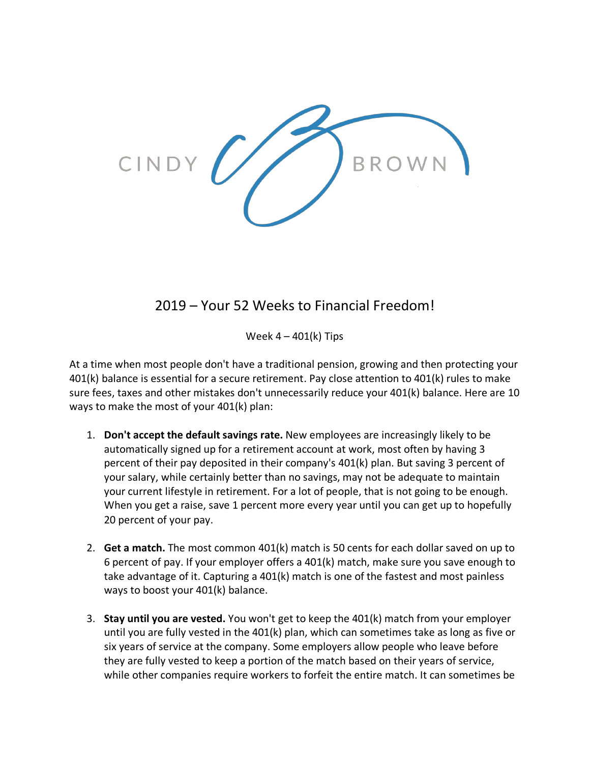

## 2019 – Your 52 Weeks to Financial Freedom!

Week  $4 - 401(k)$  Tips

At a time when most people don't have a traditional pension, growing and then protecting your 401(k) balance is essential for a secure retirement. Pay close attention to 401(k) rules to make sure fees, taxes and other mistakes don't unnecessarily reduce your 401(k) balance. Here are 10 ways to make the most of your 401(k) plan:

- 1. **Don't accept the default savings rate.** New employees are increasingly likely to be automatically signed up for a retirement account at work, most often by having 3 percent of their pay deposited in their company's 401(k) plan. But saving 3 percent of your salary, while certainly better than no savings, may not be adequate to maintain your current lifestyle in retirement. For a lot of people, that is not going to be enough. When you get a raise, save 1 percent more every year until you can get up to hopefully 20 percent of your pay.
- 2. **Get a match.** The most common 401(k) match is 50 cents for each dollar saved on up to 6 percent of pay. If your employer offers a 401(k) match, make sure you save enough to take advantage of it. Capturing a 401(k) match is one of the fastest and most painless ways to boost your 401(k) balance.
- 3. **Stay until you are vested.** You won't get to keep the 401(k) match from your employer until you are fully vested in the 401(k) plan, which can sometimes take as long as five or six years of service at the company. Some employers allow people who leave before they are fully vested to keep a portion of the match based on their years of service, while other companies require workers to forfeit the entire match. It can sometimes be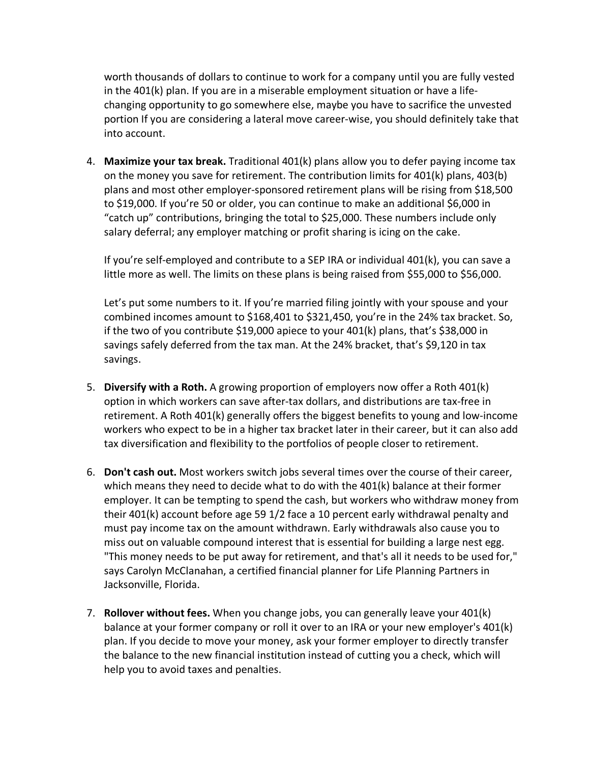worth thousands of dollars to continue to work for a company until you are fully vested in the 401(k) plan. If you are in a miserable employment situation or have a lifechanging opportunity to go somewhere else, maybe you have to sacrifice the unvested portion If you are considering a lateral move career-wise, you should definitely take that into account.

4. **Maximize your tax break.** Traditional 401(k) plans allow you to defer paying income tax on the money you save for retirement. The contribution limits for 401(k) plans, 403(b) plans and most other employer-sponsored retirement plans will be rising from \$18,500 to \$19,000. If you're 50 or older, you can continue to make an additional \$6,000 in "catch up" contributions, bringing the total to \$25,000. These numbers include only salary deferral; any employer matching or profit sharing is icing on the cake.

If you're self-employed and contribute to a SEP IRA or individual 401(k), you can save a little more as well. The limits on these plans is being raised from \$55,000 to \$56,000.

Let's put some numbers to it. If you're married filing jointly with your spouse and your combined incomes amount to \$168,401 to \$321,450, you're in the 24% tax bracket. So, if the two of you contribute \$19,000 apiece to your  $401(k)$  plans, that's \$38,000 in savings safely deferred from the tax man. At the 24% bracket, that's \$9,120 in tax savings.

- 5. **Diversify with a Roth.** A growing proportion of employers now offer a Roth 401(k) option in which workers can save after-tax dollars, and distributions are tax-free in retirement. A Roth 401(k) generally offers the biggest benefits to young and low-income workers who expect to be in a higher tax bracket later in their career, but it can also add tax diversification and flexibility to the portfolios of people closer to retirement.
- 6. **Don't cash out.** Most workers switch jobs several times over the course of their career, which means they need to decide what to do with the 401(k) balance at their former employer. It can be tempting to spend the cash, but workers who withdraw money from their 401(k) account before age 59 1/2 face a 10 percent early withdrawal penalty and must pay income tax on the amount withdrawn. Early withdrawals also cause you to miss out on valuable compound interest that is essential for building a large nest egg. "This money needs to be put away for retirement, and that's all it needs to be used for," says Carolyn McClanahan, a certified financial planner for Life Planning Partners in Jacksonville, Florida.
- 7. **Rollover without fees.** When you change jobs, you can generally leave your 401(k) balance at your former company or roll it over to an IRA or your new employer's 401(k) plan. If you decide to move your money, ask your former employer to directly transfer the balance to the new financial institution instead of cutting you a check, which will help you to avoid taxes and penalties.